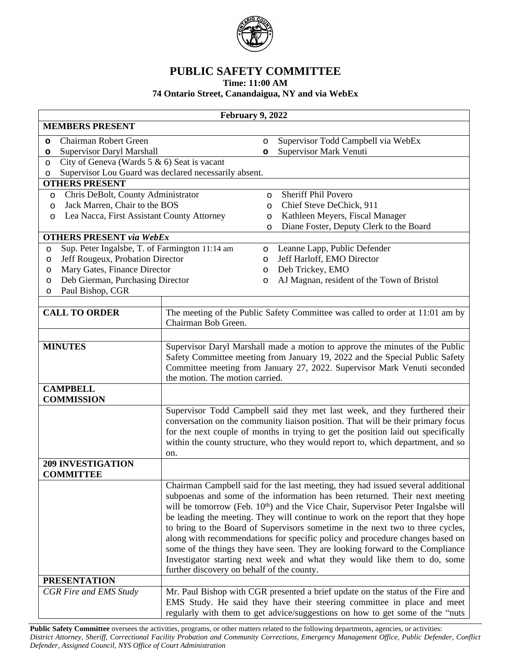

## **PUBLIC SAFETY COMMITTEE**

**Time: 11:00 AM**

## **74 Ontario Street, Canandaigua, NY and via WebEx**

| February 9, 2022                                                         |                                                                                                                                                                                                                                                                                                                                               |              |                                                                                                                                                                                                                                                                                                                                                                                                                                                                                                                                                                                                                                                                                    |  |
|--------------------------------------------------------------------------|-----------------------------------------------------------------------------------------------------------------------------------------------------------------------------------------------------------------------------------------------------------------------------------------------------------------------------------------------|--------------|------------------------------------------------------------------------------------------------------------------------------------------------------------------------------------------------------------------------------------------------------------------------------------------------------------------------------------------------------------------------------------------------------------------------------------------------------------------------------------------------------------------------------------------------------------------------------------------------------------------------------------------------------------------------------------|--|
| <b>MEMBERS PRESENT</b>                                                   |                                                                                                                                                                                                                                                                                                                                               |              |                                                                                                                                                                                                                                                                                                                                                                                                                                                                                                                                                                                                                                                                                    |  |
| Chairman Robert Green<br>$\circ$                                         |                                                                                                                                                                                                                                                                                                                                               | $\circ$      | Supervisor Todd Campbell via WebEx                                                                                                                                                                                                                                                                                                                                                                                                                                                                                                                                                                                                                                                 |  |
| Supervisor Daryl Marshall<br>$\circ$                                     |                                                                                                                                                                                                                                                                                                                                               | $\circ$      | Supervisor Mark Venuti                                                                                                                                                                                                                                                                                                                                                                                                                                                                                                                                                                                                                                                             |  |
| City of Geneva (Wards $5 \& 6$ ) Seat is vacant<br>$\circ$               |                                                                                                                                                                                                                                                                                                                                               |              |                                                                                                                                                                                                                                                                                                                                                                                                                                                                                                                                                                                                                                                                                    |  |
| Supervisor Lou Guard was declared necessarily absent.<br>$\circ$         |                                                                                                                                                                                                                                                                                                                                               |              |                                                                                                                                                                                                                                                                                                                                                                                                                                                                                                                                                                                                                                                                                    |  |
| <b>OTHERS PRESENT</b>                                                    |                                                                                                                                                                                                                                                                                                                                               |              | <b>Sheriff Phil Povero</b>                                                                                                                                                                                                                                                                                                                                                                                                                                                                                                                                                                                                                                                         |  |
| Chris DeBolt, County Administrator<br>O<br>Jack Marren, Chair to the BOS |                                                                                                                                                                                                                                                                                                                                               | $\circ$<br>O | Chief Steve DeChick, 911                                                                                                                                                                                                                                                                                                                                                                                                                                                                                                                                                                                                                                                           |  |
| O<br>Lea Nacca, First Assistant County Attorney<br>O                     |                                                                                                                                                                                                                                                                                                                                               | O            | Kathleen Meyers, Fiscal Manager                                                                                                                                                                                                                                                                                                                                                                                                                                                                                                                                                                                                                                                    |  |
|                                                                          |                                                                                                                                                                                                                                                                                                                                               | $\circ$      | Diane Foster, Deputy Clerk to the Board                                                                                                                                                                                                                                                                                                                                                                                                                                                                                                                                                                                                                                            |  |
| <b>OTHERS PRESENT via WebEx</b>                                          |                                                                                                                                                                                                                                                                                                                                               |              |                                                                                                                                                                                                                                                                                                                                                                                                                                                                                                                                                                                                                                                                                    |  |
| Sup. Peter Ingalsbe, T. of Farmington 11:14 am<br>$\circ$                |                                                                                                                                                                                                                                                                                                                                               | $\circ$      | Leanne Lapp, Public Defender                                                                                                                                                                                                                                                                                                                                                                                                                                                                                                                                                                                                                                                       |  |
| $\circ$                                                                  | Jeff Rougeux, Probation Director                                                                                                                                                                                                                                                                                                              |              | Jeff Harloff, EMO Director                                                                                                                                                                                                                                                                                                                                                                                                                                                                                                                                                                                                                                                         |  |
| O                                                                        | Mary Gates, Finance Director                                                                                                                                                                                                                                                                                                                  |              | Deb Trickey, EMO                                                                                                                                                                                                                                                                                                                                                                                                                                                                                                                                                                                                                                                                   |  |
| Deb Gierman, Purchasing Director<br>$\circ$                              |                                                                                                                                                                                                                                                                                                                                               | $\circ$      | AJ Magnan, resident of the Town of Bristol                                                                                                                                                                                                                                                                                                                                                                                                                                                                                                                                                                                                                                         |  |
| Paul Bishop, CGR<br>$\circ$                                              |                                                                                                                                                                                                                                                                                                                                               |              |                                                                                                                                                                                                                                                                                                                                                                                                                                                                                                                                                                                                                                                                                    |  |
| <b>CALL TO ORDER</b>                                                     | Chairman Bob Green.                                                                                                                                                                                                                                                                                                                           |              | The meeting of the Public Safety Committee was called to order at 11:01 am by                                                                                                                                                                                                                                                                                                                                                                                                                                                                                                                                                                                                      |  |
| <b>MINUTES</b>                                                           | Supervisor Daryl Marshall made a motion to approve the minutes of the Public<br>Safety Committee meeting from January 19, 2022 and the Special Public Safety<br>Committee meeting from January 27, 2022. Supervisor Mark Venuti seconded<br>the motion. The motion carried.                                                                   |              |                                                                                                                                                                                                                                                                                                                                                                                                                                                                                                                                                                                                                                                                                    |  |
| <b>CAMPBELL</b><br><b>COMMISSION</b>                                     |                                                                                                                                                                                                                                                                                                                                               |              |                                                                                                                                                                                                                                                                                                                                                                                                                                                                                                                                                                                                                                                                                    |  |
|                                                                          | Supervisor Todd Campbell said they met last week, and they furthered their<br>conversation on the community liaison position. That will be their primary focus<br>for the next couple of months in trying to get the position laid out specifically<br>within the county structure, who they would report to, which department, and so<br>on. |              |                                                                                                                                                                                                                                                                                                                                                                                                                                                                                                                                                                                                                                                                                    |  |
| <b>209 INVESTIGATION</b><br><b>COMMITTEE</b>                             |                                                                                                                                                                                                                                                                                                                                               |              |                                                                                                                                                                                                                                                                                                                                                                                                                                                                                                                                                                                                                                                                                    |  |
|                                                                          | further discovery on behalf of the county.                                                                                                                                                                                                                                                                                                    |              | Chairman Campbell said for the last meeting, they had issued several additional<br>subpoenas and some of the information has been returned. Their next meeting<br>will be tomorrow (Feb. 10 <sup>th</sup> ) and the Vice Chair, Supervisor Peter Ingalsbe will<br>be leading the meeting. They will continue to work on the report that they hope<br>to bring to the Board of Supervisors sometime in the next two to three cycles,<br>along with recommendations for specific policy and procedure changes based on<br>some of the things they have seen. They are looking forward to the Compliance<br>Investigator starting next week and what they would like them to do, some |  |
| <b>PRESENTATION</b>                                                      |                                                                                                                                                                                                                                                                                                                                               |              |                                                                                                                                                                                                                                                                                                                                                                                                                                                                                                                                                                                                                                                                                    |  |
| CGR Fire and EMS Study                                                   | Mr. Paul Bishop with CGR presented a brief update on the status of the Fire and<br>EMS Study. He said they have their steering committee in place and meet<br>regularly with them to get advice/suggestions on how to get some of the "nuts                                                                                                   |              |                                                                                                                                                                                                                                                                                                                                                                                                                                                                                                                                                                                                                                                                                    |  |

Public Safety Committee oversees the activities, programs, or other matters related to the following departments, agencies, or activities: District Attorney, Sheriff, Correctional Facility Probation and Community Corrections, Emergency Management Office, Public Defender, Conflict *Defender, Assigned Council, NYS Office of Court Administration*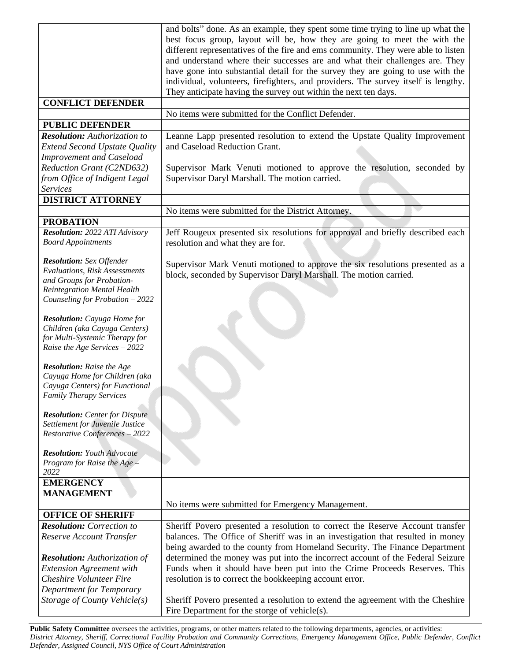|                                                                   | and bolts" done. As an example, they spent some time trying to line up what the    |  |
|-------------------------------------------------------------------|------------------------------------------------------------------------------------|--|
|                                                                   | best focus group, layout will be, how they are going to meet the with the          |  |
|                                                                   | different representatives of the fire and ems community. They were able to listen  |  |
|                                                                   | and understand where their successes are and what their challenges are. They       |  |
|                                                                   | have gone into substantial detail for the survey they are going to use with the    |  |
|                                                                   | individual, volunteers, firefighters, and providers. The survey itself is lengthy. |  |
|                                                                   | They anticipate having the survey out within the next ten days.                    |  |
| <b>CONFLICT DEFENDER</b>                                          |                                                                                    |  |
|                                                                   | No items were submitted for the Conflict Defender.                                 |  |
|                                                                   |                                                                                    |  |
| <b>PUBLIC DEFENDER</b>                                            |                                                                                    |  |
| <b>Resolution:</b> Authorization to                               | Leanne Lapp presented resolution to extend the Upstate Quality Improvement         |  |
| <b>Extend Second Upstate Quality</b>                              | and Caseload Reduction Grant.                                                      |  |
| <b>Improvement and Caseload</b>                                   |                                                                                    |  |
| Reduction Grant (C2ND632)                                         | Supervisor Mark Venuti motioned to approve the resolution, seconded by             |  |
| from Office of Indigent Legal                                     | Supervisor Daryl Marshall. The motion carried.                                     |  |
| <b>Services</b>                                                   |                                                                                    |  |
| <b>DISTRICT ATTORNEY</b>                                          |                                                                                    |  |
|                                                                   | No items were submitted for the District Attorney.                                 |  |
| <b>PROBATION</b>                                                  |                                                                                    |  |
| <b>Resolution: 2022 ATI Advisory</b>                              | Jeff Rougeux presented six resolutions for approval and briefly described each     |  |
| <b>Board Appointments</b>                                         | resolution and what they are for.                                                  |  |
|                                                                   |                                                                                    |  |
| <b>Resolution:</b> Sex Offender                                   | Supervisor Mark Venuti motioned to approve the six resolutions presented as a      |  |
| <b>Evaluations, Risk Assessments</b>                              | block, seconded by Supervisor Daryl Marshall. The motion carried.                  |  |
| and Groups for Probation-                                         |                                                                                    |  |
| <b>Reintegration Mental Health</b>                                |                                                                                    |  |
| Counseling for Probation - 2022                                   |                                                                                    |  |
| <b>Resolution:</b> Cayuga Home for                                |                                                                                    |  |
| Children (aka Cayuga Centers)                                     |                                                                                    |  |
| for Multi-Systemic Therapy for                                    |                                                                                    |  |
| Raise the Age Services - 2022                                     |                                                                                    |  |
|                                                                   |                                                                                    |  |
| <b>Resolution:</b> Raise the Age                                  |                                                                                    |  |
| Cayuga Home for Children (aka                                     |                                                                                    |  |
| Cayuga Centers) for Functional                                    |                                                                                    |  |
| <b>Family Therapy Services</b>                                    |                                                                                    |  |
|                                                                   |                                                                                    |  |
| <b>Resolution:</b> Center for Dispute                             |                                                                                    |  |
| Settlement for Juvenile Justice                                   |                                                                                    |  |
| Restorative Conferences - 2022                                    |                                                                                    |  |
| <b>Resolution: Youth Advocate</b>                                 |                                                                                    |  |
| Program for Raise the Age $\neq$                                  |                                                                                    |  |
| 2022                                                              |                                                                                    |  |
| <b>EMERGENCY</b>                                                  |                                                                                    |  |
| <b>MANAGEMENT</b>                                                 |                                                                                    |  |
|                                                                   | No items were submitted for Emergency Management.                                  |  |
| <b>OFFICE OF SHERIFF</b>                                          |                                                                                    |  |
| <b>Resolution:</b> Correction to                                  | Sheriff Povero presented a resolution to correct the Reserve Account transfer      |  |
| Reserve Account Transfer                                          | balances. The Office of Sheriff was in an investigation that resulted in money     |  |
|                                                                   | being awarded to the county from Homeland Security. The Finance Department         |  |
| <b>Resolution:</b> Authorization of                               | determined the money was put into the incorrect account of the Federal Seizure     |  |
|                                                                   |                                                                                    |  |
| <b>Extension Agreement with</b><br><b>Cheshire Volunteer Fire</b> | Funds when it should have been put into the Crime Proceeds Reserves. This          |  |
|                                                                   | resolution is to correct the bookkeeping account error.                            |  |
| Department for Temporary                                          |                                                                                    |  |
| Storage of County Vehicle(s)                                      | Sheriff Povero presented a resolution to extend the agreement with the Cheshire    |  |
|                                                                   | Fire Department for the storge of vehicle(s).                                      |  |

Public Safety Committee oversees the activities, programs, or other matters related to the following departments, agencies, or activities: District Attorney, Sheriff, Correctional Facility Probation and Community Corrections, Emergency Management Office, Public Defender, Conflict *Defender, Assigned Council, NYS Office of Court Administration*